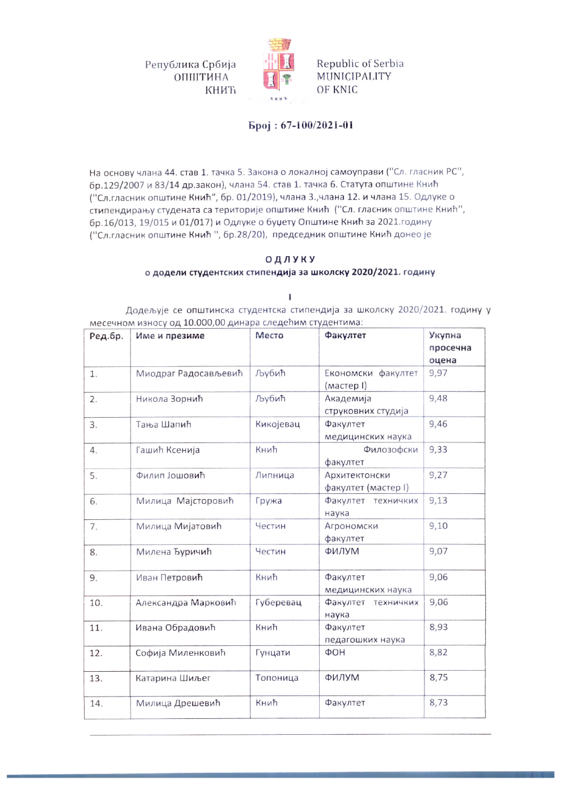Република Србија ОПШТИНА КНИЋ



Republic of Serbia MUNICIPALITY OF KNIC

## Број: 67-100/2021-01

На основу члана 44. став 1. тачка 5. Закона о локалној самоуправи ("Сл. гласник РС", бр.129/2007 и 83/14 др.закон), члана 54. став 1. тачка 6. Статута општине Кнић ("Сл.гласник општине Кнић", бр. 01/2019), члана 3.,члана 12. и члана 15. Одлуке о стипендирању студената са територије општине Кнић ("Сл. гласник општине Кнић", бр.16/013, 19/015 и 01/017) и Одлуке о буџету Општине Кнић за 2021.годину ("Сл.гласник општине Кнић", бр.28/20), председник општине Кнић донео је

## ОДЛУКУ

## о додели студентских стипендија за школску 2020/2021. годину

I.

Додељује се општинска студентска стипендија за школску 2020/2021. годину у месечном износу од 10.000,00 динара следећим студентима:

| Ред.бр. | Име и презиме        | Место     | Факултет                             | Укупна<br>просечна<br>оцена |
|---------|----------------------|-----------|--------------------------------------|-----------------------------|
| 1.      | Миодраг Радосављевић | Љубић     | Економски факултет<br>(мастер I)     | 9,97                        |
| 2.      | Никола Зорнић        | Љубић     | Академија<br>струковних студија      | 9,48                        |
| 3.      | Тања Шапић           | Кикојевац | Факултет<br>медицинских наука        | 9,46                        |
| 4.      | Гашић Ксенија        | Кнић      | Филозофски<br>факултет               | 9,33                        |
| 5.      | Филип Јошовић        | Липница   | Архитектонски<br>факултет (мастер I) | 9,27                        |
| 6.      | Милица Мајсторовић   | Гружа     | Факултет техничких<br>наука          | 9,13                        |
| 7.      | Милица Мијатовић     | Честин    | Агрономски<br>факултет               | 9,10                        |
| 8.      | Милена Ђуричић       | Честин    | ФИЛУМ                                | 9,07                        |
| 9.      | Иван Петровић        | Кнић      | Факултет<br>медицинских наука        | 9,06                        |
| 10.     | Александра Марковић  | Губеревац | Факултет техничких<br>наука          | 9,06                        |
| 11.     | Ивана Обрадовић      | Кнић      | Факултет<br>педагошких наука         | 8,93                        |
| 12.     | Софија Миленковић    | Гунцати   | ФOH                                  | 8,82                        |
| 13.     | Катарина Шиљег       | Топоница  | ФИЛУМ                                | 8,75                        |
| 14.     | Милица Дрешевић      | Кнић      | Факултет                             | 8,73                        |